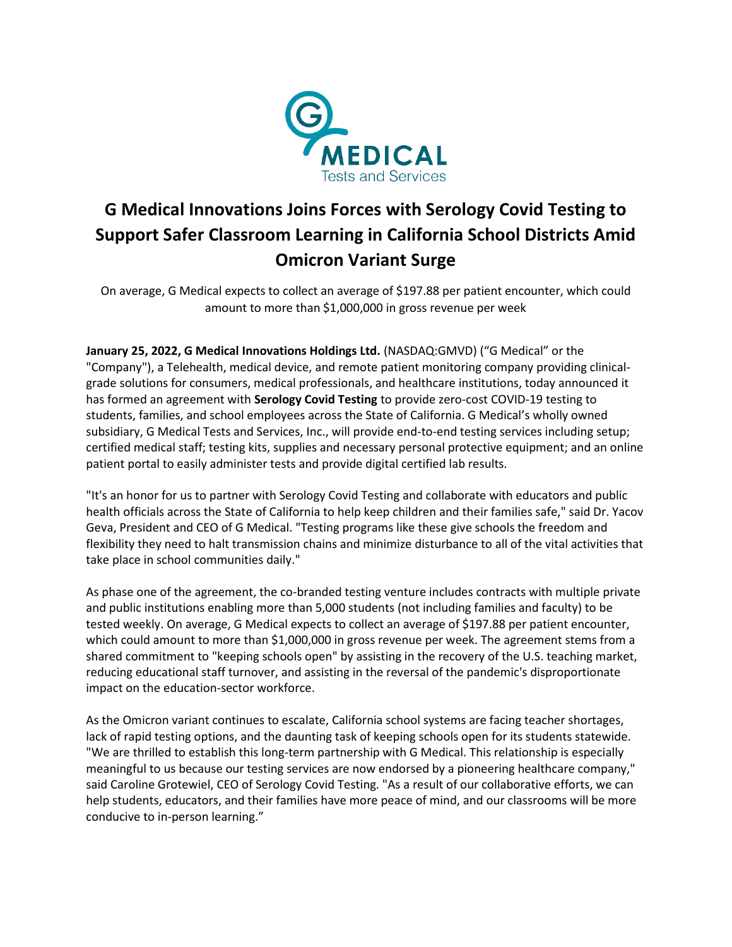

# **G Medical Innovations Joins Forces with Serology Covid Testing to Support Safer Classroom Learning in California School Districts Amid Omicron Variant Surge**

On average, G Medical expects to collect an average of \$197.88 per patient encounter, which could amount to more than \$1,000,000 in gross revenue per week

**January 25, 2022, G Medical Innovations Holdings Ltd.** (NASDAQ:GMVD) ("G Medical" or the "Company"), a Telehealth, medical device, and remote patient monitoring company providing clinicalgrade solutions for consumers, medical professionals, and healthcare institutions, today announced it has formed an agreement with **Serology Covid Testing** to provide zero-cost COVID-19 testing to students, families, and school employees across the State of California. G Medical's wholly owned subsidiary, G Medical Tests and Services, Inc., will provide end-to-end testing services including setup; certified medical staff; testing kits, supplies and necessary personal protective equipment; and an online patient portal to easily administer tests and provide digital certified lab results.

"It's an honor for us to partner with Serology Covid Testing and collaborate with educators and public health officials across the State of California to help keep children and their families safe," said Dr. Yacov Geva, President and CEO of G Medical. "Testing programs like these give schools the freedom and flexibility they need to halt transmission chains and minimize disturbance to all of the vital activities that take place in school communities daily."

As phase one of the agreement, the co-branded testing venture includes contracts with multiple private and public institutions enabling more than 5,000 students (not including families and faculty) to be tested weekly. On average, G Medical expects to collect an average of \$197.88 per patient encounter, which could amount to more than \$1,000,000 in gross revenue per week. The agreement stems from a shared commitment to "keeping schools open" by assisting in the recovery of the U.S. teaching market, reducing educational staff turnover, and assisting in the reversal of the pandemic's disproportionate impact on the education-sector workforce.

As the Omicron variant continues to escalate, California school systems are facing teacher shortages, lack of rapid testing options, and the daunting task of keeping schools open for its students statewide. "We are thrilled to establish this long-term partnership with G Medical. This relationship is especially meaningful to us because our testing services are now endorsed by a pioneering healthcare company," said Caroline Grotewiel, CEO of Serology Covid Testing. "As a result of our collaborative efforts, we can help students, educators, and their families have more peace of mind, and our classrooms will be more conducive to in-person learning."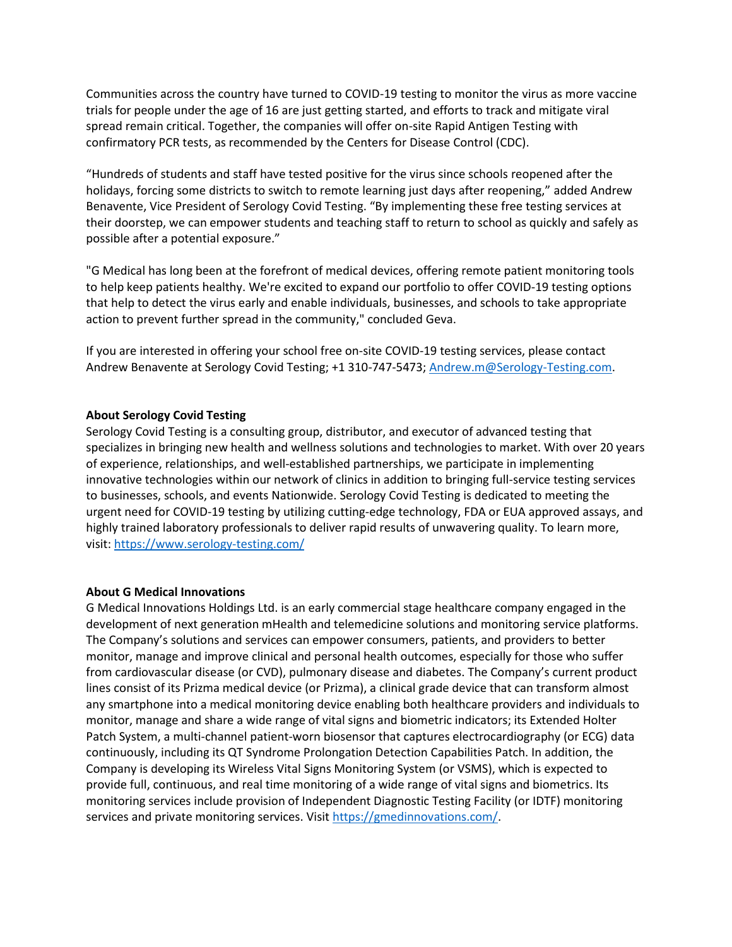Communities across the country have turned to COVID-19 testing to monitor the virus as more vaccine trials for people under the age of 16 are just getting started, and efforts to track and mitigate viral spread remain critical. Together, the companies will offer on-site Rapid Antigen Testing with confirmatory PCR tests, as recommended by the Centers for Disease Control (CDC).

"Hundreds of students and staff have tested positive for the virus since schools reopened after the holidays, forcing some districts to switch to remote learning just days after reopening," added Andrew Benavente, Vice President of Serology Covid Testing. "By implementing these free testing services at their doorstep, we can empower students and teaching staff to return to school as quickly and safely as possible after a potential exposure."

"G Medical has long been at the forefront of medical devices, offering remote patient monitoring tools to help keep patients healthy. We're excited to expand our portfolio to offer COVID-19 testing options that help to detect the virus early and enable individuals, businesses, and schools to take appropriate action to prevent further spread in the community," concluded Geva.

If you are interested in offering your school free on-site COVID-19 testing services, please contact Andrew Benavente at Serology Covid Testing; +1 310-747-5473; [Andrew.m@Serology-Testing.com.](mailto:Andrew.B@Serology-Testing.com)

### **About Serology Covid Testing**

Serology Covid Testing is a consulting group, distributor, and executor of advanced testing that specializes in bringing new health and wellness solutions and technologies to market. With over 20 years of experience, relationships, and well-established partnerships, we participate in implementing innovative technologies within our network of clinics in addition to bringing full-service testing services to businesses, schools, and events Nationwide. Serology Covid Testing is dedicated to meeting the urgent need for COVID-19 testing by utilizing cutting-edge technology, FDA or EUA approved assays, and highly trained laboratory professionals to deliver rapid results of unwavering quality. To learn more, visit[: https://www.serology-testing.com/](https://www.serology-testing.com/)

### **About G Medical Innovations**

G Medical Innovations Holdings Ltd. is an early commercial stage healthcare company engaged in the development of next generation mHealth and telemedicine solutions and monitoring service platforms. The Company's solutions and services can empower consumers, patients, and providers to better monitor, manage and improve clinical and personal health outcomes, especially for those who suffer from cardiovascular disease (or CVD), pulmonary disease and diabetes. The Company's current product lines consist of its Prizma medical device (or Prizma), a clinical grade device that can transform almost any smartphone into a medical monitoring device enabling both healthcare providers and individuals to monitor, manage and share a wide range of vital signs and biometric indicators; its Extended Holter Patch System, a multi-channel patient-worn biosensor that captures electrocardiography (or ECG) data continuously, including its QT Syndrome Prolongation Detection Capabilities Patch. In addition, the Company is developing its Wireless Vital Signs Monitoring System (or VSMS), which is expected to provide full, continuous, and real time monitoring of a wide range of vital signs and biometrics. Its monitoring services include provision of Independent Diagnostic Testing Facility (or IDTF) monitoring services and private monitoring services. Visit [https://gmedinnovations.com/.](https://gmedinnovations.com/)